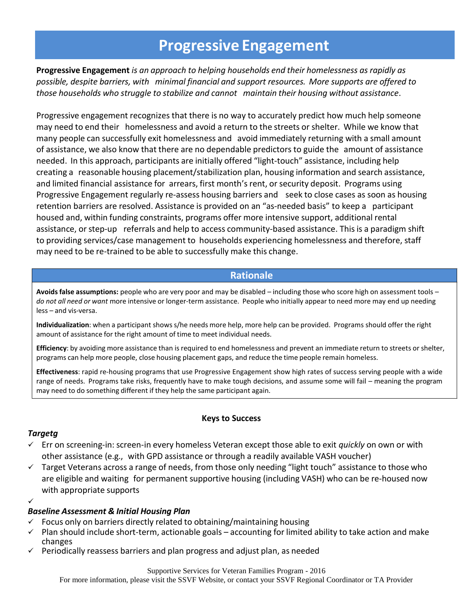# **Progressive Engagement**

**Progressive Engagement** *is an approach to helping households end their homelessness as rapidly as possible, despite barriers, with minimal financial and support resources. More supports are offered to those households who struggle to stabilize and cannot maintain their housing without assistance*.

Progressive engagement recognizes that there is no way to accurately predict how much help someone may need to end their homelessness and avoid a return to the streets or shelter. While we know that many people can successfully exit homelessness and avoid immediately returning with a small amount of assistance, we also know that there are no dependable predictors to guide the amount of assistance needed. In this approach, participants are initially offered "light-touch" assistance, including help creating a reasonable housing placement/stabilization plan, housing information and search assistance, and limited financial assistance for arrears, first month's rent, or security deposit. Programs using Progressive Engagement regularly re-assess housing barriers and seek to close cases as soon as housing retention barriers are resolved. Assistance is provided on an "as-needed basis" to keep a participant housed and, within funding constraints, programs offer more intensive support, additional rental assistance, or step-up referrals and help to access community-based assistance. This is a paradigm shift to providing services/case management to households experiencing homelessness and therefore, staff may need to be re-trained to be able to successfully make this change.

# **Rationale**

Avoids false assumptions: people who are very poor and may be disabled - including those who score high on assessment tools *do not all need or want* more intensive or longer-term assistance. People who initially appear to need more may end up needing less – and vis-versa.

**Individualization**: when a participant shows s/he needs more help, more help can be provided. Programs should offer the right amount of assistance for the right amount of time to meet individual needs.

**Efficiency**: by avoiding more assistance than is required to end homelessness and prevent an immediate return to streets or shelter, programs can help more people, close housing placement gaps, and reduce the time people remain homeless.

**Effectiveness**: rapid re-housing programs that use Progressive Engagement show high rates of success serving people with a wide range of needs. Programs take risks, frequently have to make tough decisions, and assume some will fail – meaning the program may need to do something different if they help the same participant again.

#### **Keys to Success**

#### *Targetg*

- Err on screening-in: screen-in every homeless Veteran except those able to exit *quickly* on own or with other assistance (e.g., with GPD assistance or through a readily available VASH voucher)
- $\checkmark$  Target Veterans across a range of needs, from those only needing "light touch" assistance to those who are eligible and waiting for permanent supportive housing (including VASH) who can be re-housed now with appropriate supports
- ✓

#### *Baseline Assessment & Initial Housing Plan*

- $\checkmark$  Focus only on barriers directly related to obtaining/maintaining housing
- $\checkmark$  Plan should include short-term, actionable goals accounting for limited ability to take action and make changes
- $\checkmark$  Periodically reassess barriers and plan progress and adjust plan, as needed